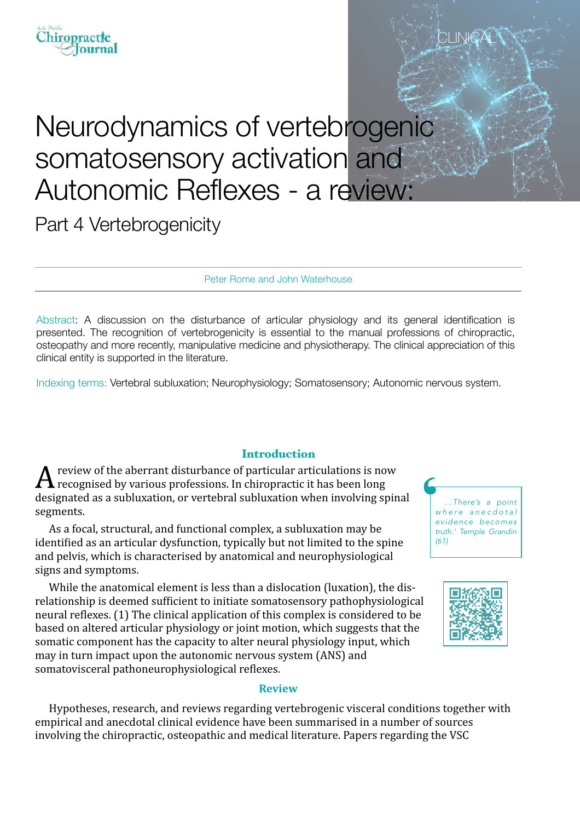# ournal

# Neurodynamics of vertebrogenic somatosensory activation and Autonomic Reflexes - a review:

Part 4 Vertebrogenicity

Peter Rome and John Waterhouse

Abstract: A discussion on the disturbance of articular physiology and its general identification is presented. The recognition of vertebrogenicity is essential to the manual professions of chiropractic, osteopathy and more recently, manipulative medicine and physiotherapy. The clinical appreciation of this clinical entity is supported in the literature.

Indexing terms: Vertebral subluxation; Neurophysiology; Somatosensory; Autonomic nervous system.

## Introduction

 $\bm A$  review of the aberrant disturbance of particular articulations is now<br>recognised by various professions. In chiropractic it has been long designated as a subluxation, or vertebral subluxation when involving spinal segments.

As a focal, structural, and functional complex, a subluxation may be identified as an articular dysfunction, typically but not limited to the spine and pelvis, which is characterised by anatomical and neurophysiological signs and symptoms.

While the anatomical element is less than a dislocation (luxation), the disrelationship is deemed sufficient to initiate somatosensory pathophysiological neural reflexes. (1) The clinical application of this complex is considered to be based on altered articular physiology or joint motion, which suggests that the somatic component has the capacity to alter neural physiology input, which may in turn impact upon the autonomic nervous system (ANS) and somatovisceral pathoneurophysiological reflexes.



CLIN<del>I</del>C



#### **Review**

Hypotheses, research, and reviews regarding vertebrogenic visceral conditions together with empirical and anecdotal clinical evidence have been summarised in a number of sources involving the chiropractic, osteopathic and medical literature. Papers regarding the VSC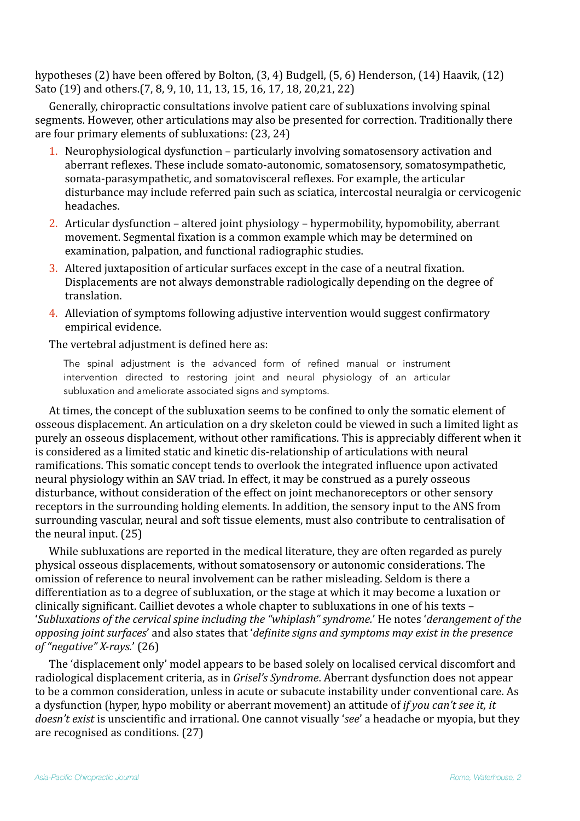hypotheses  $(2)$  have been offered by Bolton,  $(3, 4)$  Budgell,  $(5, 6)$  Henderson,  $(14)$  Haavik,  $(12)$ Sato (19) and others.(7, 8, 9, 10, 11, 13, 15, 16, 17, 18, 20, 21, 22)

Generally, chiropractic consultations involve patient care of subluxations involving spinal segments. However, other articulations may also be presented for correction. Traditionally there are four primary elements of subluxations:  $(23, 24)$ 

- 1. Neurophysiological dysfunction particularly involving somatosensory activation and aberrant reflexes. These include somato-autonomic, somatosensory, somatosympathetic, somata-parasympathetic, and somatovisceral reflexes. For example, the articular disturbance may include referred pain such as sciatica, intercostal neuralgia or cervicogenic headaches.
- 2. Articular dysfunction altered joint physiology hypermobility, hypomobility, aberrant movement. Segmental fixation is a common example which may be determined on examination, palpation, and functional radiographic studies.
- 3. Altered juxtaposition of articular surfaces except in the case of a neutral fixation. Displacements are not always demonstrable radiologically depending on the degree of translation.
- 4. Alleviation of symptoms following adjustive intervention would suggest confirmatory empirical evidence.

### The vertebral adjustment is defined here as:

The spinal adjustment is the advanced form of refined manual or instrument intervention directed to restoring joint and neural physiology of an articular subluxation and ameliorate associated signs and symptoms.

At times, the concept of the subluxation seems to be confined to only the somatic element of osseous displacement. An articulation on a dry skeleton could be viewed in such a limited light as purely an osseous displacement, without other ramifications. This is appreciably different when it is considered as a limited static and kinetic dis-relationship of articulations with neural ramifications. This somatic concept tends to overlook the integrated influence upon activated neural physiology within an SAV triad. In effect, it may be construed as a purely osseous disturbance, without consideration of the effect on joint mechanoreceptors or other sensory receptors in the surrounding holding elements. In addition, the sensory input to the ANS from surrounding vascular, neural and soft tissue elements, must also contribute to centralisation of the neural input.  $(25)$ 

While subluxations are reported in the medical literature, they are often regarded as purely physical osseous displacements, without somatosensory or autonomic considerations. The omission of reference to neural involvement can be rather misleading. Seldom is there a differentiation as to a degree of subluxation, or the stage at which it may become a luxation or clinically significant. Cailliet devotes a whole chapter to subluxations in one of his texts -'Subluxations of the cervical spine including the "whiplash" syndrome.' He notes 'derangement of the *opposing joint surfaces'* and also states that '*definite signs and symptoms may exist in the presence of "negative" X-rays.*' (26)

The 'displacement only' model appears to be based solely on localised cervical discomfort and radiological displacement criteria, as in *Grisel's Syndrome*. Aberrant dysfunction does not appear to be a common consideration, unless in acute or subacute instability under conventional care. As a dysfunction (hyper, hypo mobility or aberrant movement) an attitude of *if you can't see it, it doesn't exist* is unscientific and irrational. One cannot visually 'see' a headache or myopia, but they are recognised as conditions.  $(27)$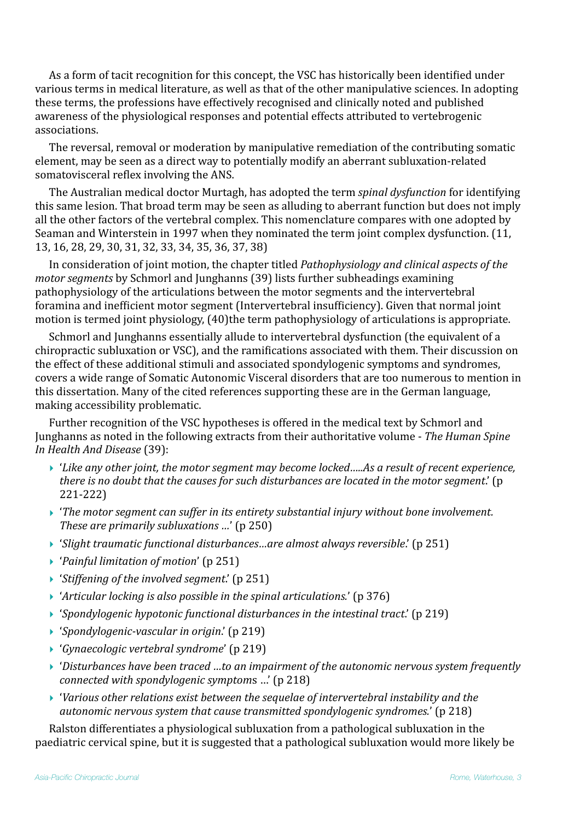As a form of tacit recognition for this concept, the VSC has historically been identified under various terms in medical literature, as well as that of the other manipulative sciences. In adopting these terms, the professions have effectively recognised and clinically noted and published awareness of the physiological responses and potential effects attributed to vertebrogenic associations. 

The reversal, removal or moderation by manipulative remediation of the contributing somatic element, may be seen as a direct way to potentially modify an aberrant subluxation-related somatovisceral reflex involving the ANS.

The Australian medical doctor Murtagh, has adopted the term *spinal dysfunction* for identifying this same lesion. That broad term may be seen as alluding to aberrant function but does not imply all the other factors of the vertebral complex. This nomenclature compares with one adopted by Seaman and Winterstein in 1997 when they nominated the term joint complex dysfunction. (11, 13, 16, 28, 29, 30, 31, 32, 33, 34, 35, 36, 37, 38)

In consideration of joint motion, the chapter titled *Pathophysiology and clinical aspects of the motor segments* by Schmorl and Junghanns (39) lists further subheadings examining pathophysiology of the articulations between the motor segments and the intervertebral foramina and inefficient motor segment (Intervertebral insufficiency). Given that normal joint motion is termed joint physiology, (40)the term pathophysiology of articulations is appropriate.

Schmorl and Junghanns essentially allude to intervertebral dysfunction (the equivalent of a chiropractic subluxation or VSC), and the ramifications associated with them. Their discussion on the effect of these additional stimuli and associated spondylogenic symptoms and syndromes, covers a wide range of Somatic Autonomic Visceral disorders that are too numerous to mention in this dissertation. Many of the cited references supporting these are in the German language, making accessibility problematic.

Further recognition of the VSC hypotheses is offered in the medical text by Schmorl and Junghanns as noted in the following extracts from their authoritative volume - *The Human Spine In Health And Disease* (39):

- ▶ 'Like any other joint, the motor segment may become locked.....As a result of recent experience, *there is no doubt that the causes for such disturbances are located in the motor segment.*' (p 221-222)
- ▶ 'The motor segment can suffer in its entirety substantial injury without bone involvement. *These are primarily subluxations ...'* (p 250)
- ▶ 'Slight traumatic functional disturbances...are almost always reversible.' (p 251)
- ▶ '*Painful limitation of motion'* (p 251)
- ▶ '*Stiffening of the involved segment*.' (p 251)
- '*Articular locking is also possible in the spinal articulations.'* (p 376)
- ▶ '*Spondylogenic hypotonic functional disturbances in the intestinal tract'* (p 219)
- ▶ '*Spondylogenic-vascular in origin*.' (p 219)
- ‣ '*Gynaecologic vertebral syndrome*' (p 219)
- ▶ 'Disturbances have been traced ...to an impairment of the autonomic nervous system frequently *connected with spondylogenic symptoms ...'* (p 218)
- ▶ 'Various other relations exist between the sequelae of intervertebral instability and the autonomic nervous system that cause transmitted spondylogenic syndromes.' (p 218)

Ralston differentiates a physiological subluxation from a pathological subluxation in the paediatric cervical spine, but it is suggested that a pathological subluxation would more likely be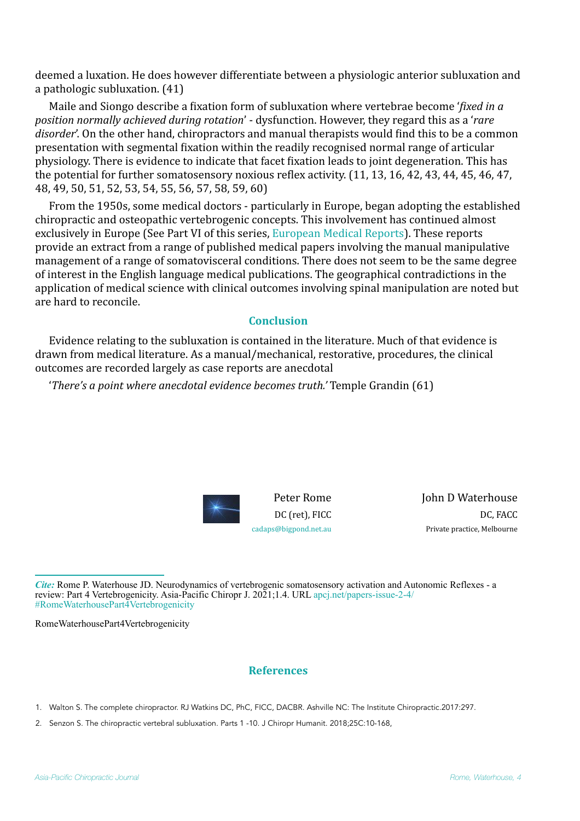deemed a luxation. He does however differentiate between a physiologic anterior subluxation and a pathologic subluxation.  $(41)$ 

Maile and Siongo describe a fixation form of subluxation where vertebrae become *'fixed in a* position normally achieved during rotation' - dysfunction. However, they regard this as a 'rare *disorder'*. On the other hand, chiropractors and manual therapists would find this to be a common presentation with segmental fixation within the readily recognised normal range of articular physiology. There is evidence to indicate that facet fixation leads to joint degeneration. This has the potential for further somatosensory noxious reflex activity. (11, 13, 16, 42, 43, 44, 45, 46, 47, 48, 49, 50, 51, 52, 53, 54, 55, 56, 57, 58, 59, 60)

From the 1950s, some medical doctors - particularly in Europe, began adopting the established chiropractic and osteopathic vertebrogenic concepts. This involvement has continued almost exclusively in Europe (See Part VI of this series, European Medical Reports). These reports provide an extract from a range of published medical papers involving the manual manipulative management of a range of somatovisceral conditions. There does not seem to be the same degree of interest in the English language medical publications. The geographical contradictions in the application of medical science with clinical outcomes involving spinal manipulation are noted but are hard to reconcile.

#### **Conclusion**

Evidence relating to the subluxation is contained in the literature. Much of that evidence is drawn from medical literature. As a manual/mechanical, restorative, procedures, the clinical outcomes are recorded largely as case reports are anecdotal

*'There's a point where anecdotal evidence becomes truth.'* Temple Grandin (61)



**John D Waterhouse** DC, FACC Private practice, Melbourne

*Cite:* Rome P. Waterhouse JD. Neurodynamics of vertebrogenic somatosensory activation and Autonomic Reflexes - a review: Part 4 Vertebrogenicity. Asia-Pacific Chiropr J. 2021;1.4. URL [apcj.net/papers-issue-2-4/](http://apcj.net/papers-issue-2-4/#RomeWaterhousePart4Vertebrogenicity) [#RomeWaterhousePart4Vertebrogenicity](http://apcj.net/papers-issue-2-4/#RomeWaterhousePart4Vertebrogenicity)

RomeWaterhousePart4Vertebrogenicity

#### **References**

- 1. Walton S. The complete chiropractor. RJ Watkins DC, PhC, FICC, DACBR. Ashville NC: The Institute Chiropractic.2017:297.
- 2. Senzon S. The chiropractic vertebral subluxation. Parts 1 -10. J Chiropr Humanit. 2018;25C:10-168,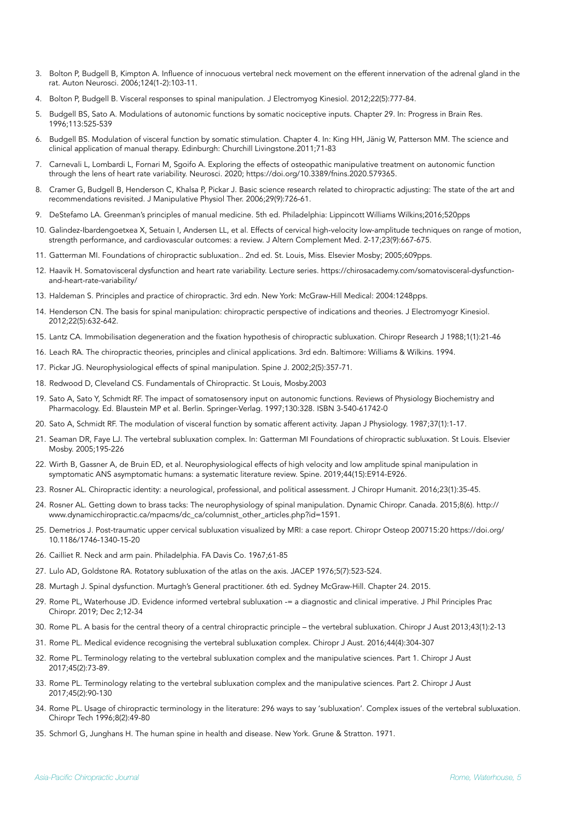- 3. Bolton P, Budgell B, Kimpton A. Influence of innocuous vertebral neck movement on the efferent innervation of the adrenal gland in the rat. Auton Neurosci. 2006;124(1-2):103-11.
- 4. Bolton P, Budgell B. Visceral responses to spinal manipulation. J Electromyog Kinesiol. 2012;22(5):777-84.
- 5. Budgell BS, Sato A. Modulations of autonomic functions by somatic nociceptive inputs. Chapter 29. In: Progress in Brain Res. 1996;113:525-539
- 6. Budgell BS. Modulation of visceral function by somatic stimulation. Chapter 4. In: King HH, Jänig W, Patterson MM. The science and clinical application of manual therapy. Edinburgh: Churchill Livingstone.2011;71-83
- 7. Carnevali L, Lombardi L, Fornari M, Sgoifo A. Exploring the effects of osteopathic manipulative treatment on autonomic function through the lens of heart rate variability. Neurosci. 2020; <https://doi.org/10.3389/fnins.2020.579365>.
- 8. Cramer G, Budgell B, Henderson C, Khalsa P, Pickar J. Basic science research related to chiropractic adjusting: The state of the art and recommendations revisited. J Manipulative Physiol Ther. 2006;29(9):726-61.
- 9. DeStefamo LA. Greenman's principles of manual medicine. 5th ed. Philadelphia: Lippincott Williams Wilkins;2016;520pps
- 10. Galindez-Ibardengoetxea X, Setuain I, Andersen LL, et al. Effects of cervical high-velocity low-amplitude techniques on range of motion, strength performance, and cardiovascular outcomes: a review. J Altern Complement Med. 2-17;23(9):667-675.
- 11. Gatterman MI. Foundations of chiropractic subluxation.. 2nd ed. St. Louis, Miss. Elsevier Mosby; 2005;609pps.
- 12. Haavik H. Somatovisceral dysfunction and heart rate variability. Lecture series. https://chirosacademy.com/somatovisceral-dysfunctionand-heart-rate-variability/
- 13. Haldeman S. Principles and practice of chiropractic. 3rd edn. New York: McGraw-Hill Medical: 2004:1248pps.
- 14. Henderson CN. The basis for spinal manipulation: chiropractic perspective of indications and theories. J Electromyogr Kinesiol. 2012;22(5):632-642.
- 15. Lantz CA. Immobilisation degeneration and the fixation hypothesis of chiropractic subluxation. Chiropr Research J 1988;1(1):21-46
- 16. Leach RA. The chiropractic theories, principles and clinical applications. 3rd edn. Baltimore: Williams & Wilkins. 1994.
- 17. Pickar JG. Neurophysiological effects of spinal manipulation. Spine J. 2002;2(5):357-71.
- 18. Redwood D, Cleveland CS. Fundamentals of Chiropractic. St Louis, Mosby.2003
- 19. Sato A, Sato Y, Schmidt RF. The impact of somatosensory input on autonomic functions. Reviews of Physiology Biochemistry and Pharmacology. Ed. Blaustein MP et al. Berlin. Springer-Verlag. 1997;130:328. ISBN 3-540-61742-0
- 20. Sato A, Schmidt RF. The modulation of visceral function by somatic afferent activity. Japan J Physiology. 1987;37(1):1-17.
- 21. Seaman DR, Faye LJ. The vertebral subluxation complex. In: Gatterman MI Foundations of chiropractic subluxation. St Louis. Elsevier Mosby. 2005;195-226
- 22. Wirth B, Gassner A, de Bruin ED, et al. Neurophysiological effects of high velocity and low amplitude spinal manipulation in symptomatic ANS asymptomatic humans: a systematic literature review. Spine. 2019;44(15):E914-E926.
- 23. Rosner AL. Chiropractic identity: a neurological, professional, and political assessment. J Chiropr Humanit. 2016;23(1):35-45.
- 24. Rosner AL. Getting down to brass tacks: The neurophysiology of spinal manipulation. Dynamic Chiropr. Canada. 2015;8(6). http:// www.dynamicchiropractic.ca/mpacms/dc\_ca/columnist\_other\_articles.php?id=1591.
- 25. Demetrios J. Post-traumatic upper cervical subluxation visualized by MRI: a case report. Chiropr Osteop 200715:20 [https://doi.org/](https://doi.org/10.1186/1746-1340-15-20) [10.1186/1746-1340-15-20](https://doi.org/10.1186/1746-1340-15-20)
- 26. Cailliet R. Neck and arm pain. Philadelphia. FA Davis Co. 1967;61-85
- 27. Lulo AD, Goldstone RA. Rotatory subluxation of the atlas on the axis. JACEP 1976;5(7):523-524.
- 28. Murtagh J. Spinal dysfunction. Murtagh's General practitioner. 6th ed. Sydney McGraw-Hill. Chapter 24. 2015.
- 29. Rome PL, Waterhouse JD. Evidence informed vertebral subluxation -= a diagnostic and clinical imperative. J Phil Principles Prac Chiropr. 2019; Dec 2;12-34
- 30. Rome PL. A basis for the central theory of a central chiropractic principle the vertebral subluxation. Chiropr J Aust 2013;43(1):2-13
- 31. Rome PL. Medical evidence recognising the vertebral subluxation complex. Chiropr J Aust. 2016;44(4):304-307
- 32. Rome PL. Terminology relating to the vertebral subluxation complex and the manipulative sciences. Part 1. Chiropr J Aust 2017;45(2):73-89.
- 33. Rome PL. Terminology relating to the vertebral subluxation complex and the manipulative sciences. Part 2. Chiropr J Aust 2017;45(2):90-130
- 34. Rome PL. Usage of chiropractic terminology in the literature: 296 ways to say 'subluxation'. Complex issues of the vertebral subluxation. Chiropr Tech 1996;8(2):49-80
- 35. Schmorl G, Junghans H. The human spine in health and disease. New York. Grune & Stratton. 1971.